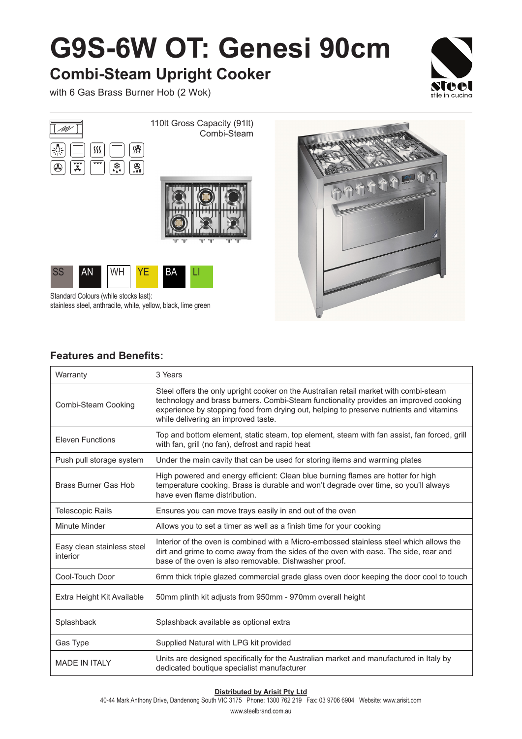## **G9S-6W OT: Genesi 90cm**

## **Combi-Steam Upright Cooker**

with 6 Gas Brass Burner Hob (2 Wok)





Standard Colours (while stocks last): stainless steel, anthracite, white, yellow, black, lime green

### **Features and Benefits:**

| Warranty                               | 3 Years                                                                                                                                                                                                                                                                                                         |
|----------------------------------------|-----------------------------------------------------------------------------------------------------------------------------------------------------------------------------------------------------------------------------------------------------------------------------------------------------------------|
| Combi-Steam Cooking                    | Steel offers the only upright cooker on the Australian retail market with combi-steam<br>technology and brass burners. Combi-Steam functionality provides an improved cooking<br>experience by stopping food from drying out, helping to preserve nutrients and vitamins<br>while delivering an improved taste. |
| <b>Eleven Functions</b>                | Top and bottom element, static steam, top element, steam with fan assist, fan forced, grill<br>with fan, grill (no fan), defrost and rapid heat                                                                                                                                                                 |
| Push pull storage system               | Under the main cavity that can be used for storing items and warming plates                                                                                                                                                                                                                                     |
| Brass Burner Gas Hob                   | High powered and energy efficient: Clean blue burning flames are hotter for high<br>temperature cooking. Brass is durable and won't degrade over time, so you'll always<br>have even flame distribution.                                                                                                        |
| <b>Telescopic Rails</b>                | Ensures you can move trays easily in and out of the oven                                                                                                                                                                                                                                                        |
| Minute Minder                          | Allows you to set a timer as well as a finish time for your cooking                                                                                                                                                                                                                                             |
| Easy clean stainless steel<br>interior | Interior of the oven is combined with a Micro-embossed stainless steel which allows the<br>dirt and grime to come away from the sides of the oven with ease. The side, rear and<br>base of the oven is also removable. Dishwasher proof.                                                                        |
| Cool-Touch Door                        | 6mm thick triple glazed commercial grade glass oven door keeping the door cool to touch                                                                                                                                                                                                                         |
| Extra Height Kit Available             | 50mm plinth kit adjusts from 950mm - 970mm overall height                                                                                                                                                                                                                                                       |
| Splashback                             | Splashback available as optional extra                                                                                                                                                                                                                                                                          |
| Gas Type                               | Supplied Natural with LPG kit provided                                                                                                                                                                                                                                                                          |
| <b>MADE IN ITAI Y</b>                  | Units are designed specifically for the Australian market and manufactured in Italy by<br>dedicated boutique specialist manufacturer                                                                                                                                                                            |

#### **Distributed by Arisit Pty Ltd**